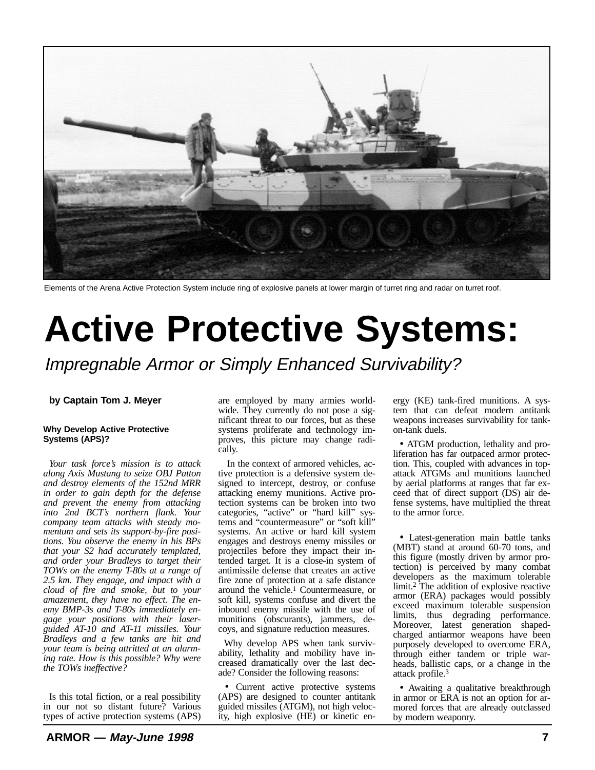

Elements of the Arena Active Protection System include ring of explosive panels at lower margin of turret ring and radar on turret roof.

# **Active Protective Systems:**

Impregnable Armor or Simply Enhanced Survivability?

# **by Captain Tom J. Meyer**

## **Why Develop Active Protective Systems (APS)?**

*Your task force's mission is to attack along Axis Mustang to seize OBJ Patton and destroy elements of the 152nd MRR in order to gain depth for the defense and prevent the enemy from attacking into 2nd BCT's northern flank. Your company team attacks with steady momentum and sets its support-by-fire positions. You observe the enemy in his BPs that your S2 had accurately templated, and order your Bradleys to target their TOWs on the enemy T-80s at a range of 2.5 km. They engage, and impact with a cloud of fire and smoke, but to your amazement, they have no effect. The enemy BMP-3s and T-80s immediately engage your positions with their laserguided AT-10 and AT-11 missiles. Your Bradleys and a few tanks are hit and your team is being attritted at an alarming rate. How is this possible? Why were the TOWs ineffective?*

Is this total fiction, or a real possibility in our not so distant future? Various types of active protection systems (APS) are employed by many armies worldwide. They currently do not pose a significant threat to our forces, but as these systems proliferate and technology improves, this picture may change radically.

 In the context of armored vehicles, active protection is a defensive system designed to intercept, destroy, or confuse attacking enemy munitions. Active protection systems can be broken into two categories, "active" or "hard kill" systems and "countermeasure" or "soft kill" systems. An active or hard kill system engages and destroys enemy missiles or projectiles before they impact their intended target. It is a close-in system of antimissile defense that creates an active fire zone of protection at a safe distance around the vehicle.1 Countermeasure, or soft kill, systems confuse and divert the inbound enemy missile with the use of munitions (obscurants), jammers, decoys, and signature reduction measures.

Why develop APS when tank survivability, lethality and mobility have increased dramatically over the last decade? Consider the following reasons:

• Current active protective systems (APS) are designed to counter antitank guided missiles (ATGM), not high velocity, high explosive (HE) or kinetic energy (KE) tank-fired munitions. A system that can defeat modern antitank weapons increases survivability for tankon-tank duels.

• ATGM production, lethality and proliferation has far outpaced armor protection. This, coupled with advances in topattack ATGMs and munitions launched by aerial platforms at ranges that far exceed that of direct support (DS) air defense systems, have multiplied the threat to the armor force.

• Latest-generation main battle tanks (MBT) stand at around 60-70 tons, and this figure (mostly driven by armor protection) is perceived by many combat developers as the maximum tolerable limit.2 The addition of explosive reactive armor (ERA) packages would possibly exceed maximum tolerable suspension limits, thus degrading performance. Moreover, latest generation shapedcharged antiarmor weapons have been purposely developed to overcome ERA, through either tandem or triple warheads, ballistic caps, or a change in the attack profile.3

• Awaiting a qualitative breakthrough in armor or ERA is not an option for armored forces that are already outclassed by modern weaponry.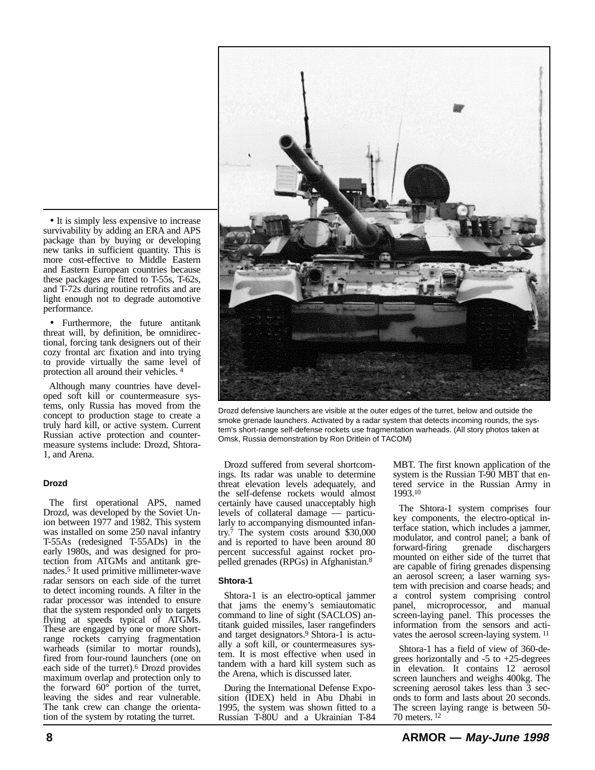• It is simply less expensive to increase survivability by adding an ERA and APS package than by buying or developing new tanks in sufficient quantity. This is more cost-effective to Middle Eastern and Eastern European countries because these packages are fitted to T-55s, T-62s, and T-72s during routine retrofits and are light enough not to degrade automotive performance.

• Furthermore, the future antitank threat will, by definition, be omnidirectional, forcing tank designers out of their cozy frontal arc fixation and into trying to provide virtually the same level of protection all around their vehicles. 4

Although many countries have developed soft kill or countermeasure systems, only Russia has moved from the concept to production stage to create a truly hard kill, or active system. Current Russian active protection and countermeasure systems include: Drozd, Shtora-1, and Arena.

## **Drozd**

The first operational APS, named Drozd, was developed by the Soviet Union between 1977 and 1982. This system was installed on some 250 naval infantry T-55As (redesigned T-55ADs) in the early 1980s, and was designed for protection from ATGMs and antitank grenades.5 It used primitive millimeter-wave radar sensors on each side of the turret to detect incoming rounds. A filter in the radar processor was intended to ensure that the system responded only to targets flying at speeds typical of ATGMs. These are engaged by one or more shortrange rockets carrying fragmentation warheads (similar to mortar rounds), fired from four-round launchers (one on each side of the turret).6 Drozd provides maximum overlap and protection only to the forward 60° portion of the turret, leaving the sides and rear vulnerable. The tank crew can change the orientation of the system by rotating the turret.



Drozd defensive launchers are visible at the outer edges of the turret, below and outside the smoke grenade launchers. Activated by a radar system that detects incoming rounds, the system's short-range self-defense rockets use fragmentation warheads. (All story photos taken at Omsk, Russia demonstration by Ron Dritlein of TACOM)

Drozd suffered from several shortcomings. Its radar was unable to determine threat elevation levels adequately, and the self-defense rockets would almost certainly have caused unacceptably high levels of collateral damage — particularly to accompanying dismounted infantry.7 The system costs around \$30,000 and is reported to have been around 80 percent successful against rocket propelled grenades (RPGs) in Afghanistan.8

## **Shtora-1**

Shtora-1 is an electro-optical jammer that jams the enemy's semiautomatic command to line of sight (SACLOS) antitank guided missiles, laser rangefinders and target designators.<sup>9</sup> Shtora-1 is actually a soft kill, or countermeasures system. It is most effective when used in tandem with a hard kill system such as the Arena, which is discussed later.

During the International Defense Exposition (IDEX) held in Abu Dhabi in 1995, the system was shown fitted to a Russian T-80U and a Ukrainian T-84 MBT. The first known application of the system is the Russian T-90 MBT that entered service in the Russian Army in 1993.10

The Shtora-1 system comprises four key components, the electro-optical interface station, which includes a jammer, modulator, and control panel; a bank of forward-firing grenade dischargers mounted on either side of the turret that are capable of firing grenades dispensing an aerosol screen; a laser warning system with precision and coarse heads; and a control system comprising control panel, microprocessor, and manual screen-laying panel. This processes the information from the sensors and activates the aerosol screen-laying system. 11

Shtora-1 has a field of view of 360-degrees horizontally and  $-5$  to  $+25$ -degrees in elevation. It contains 12 aerosol screen launchers and weighs 400kg. The screening aerosol takes less than 3 seconds to form and lasts about 20 seconds. The screen laying range is between 50- 70 meters. 12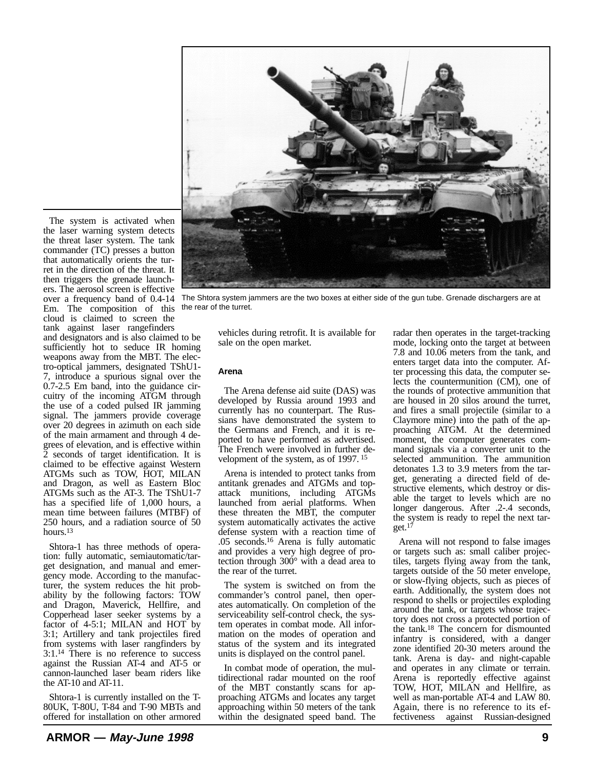

The system is activated when the laser warning system detects the threat laser system. The tank commander (TC) presses a button that automatically orients the turret in the direction of the threat. It then triggers the grenade launchers. The aerosol screen is effective over a frequency band of 0.4-14 Em. The composition of this cloud is claimed to screen the tank against laser rangefinders

and designators and is also claimed to be sufficiently hot to seduce IR homing weapons away from the MBT. The electro-optical jammers, designated TShU1- 7, introduce a spurious signal over the 0.7-2.5 Em band, into the guidance circuitry of the incoming ATGM through the use of a coded pulsed IR jamming signal. The jammers provide coverage over 20 degrees in azimuth on each side of the main armament and through 4 degrees of elevation, and is effective within 2 seconds of target identification. It is claimed to be effective against Western ATGMs such as TOW, HOT, MILAN and Dragon, as well as Eastern Bloc ATGMs such as the AT-3. The TShU1-7 has a specified life of 1,000 hours, a mean time between failures (MTBF) of 250 hours, and a radiation source of 50 hours.13

Shtora-1 has three methods of operation: fully automatic, semiautomatic/target designation, and manual and emergency mode. According to the manufacturer, the system reduces the hit probability by the following factors: TOW and Dragon, Maverick, Hellfire, and Copperhead laser seeker systems by a factor of 4-5:1; MILAN and HOT by 3:1; Artillery and tank projectiles fired from systems with laser rangfinders by 3:1.14 There is no reference to success against the Russian AT-4 and AT-5 or cannon-launched laser beam riders like the AT-10 and AT-11.

Shtora-1 is currently installed on the T-80UK, T-80U, T-84 and T-90 MBTs and offered for installation on other armored

The Shtora system jammers are the two boxes at either side of the gun tube. Grenade dischargers are at the rear of the turret.

vehicles during retrofit. It is available for sale on the open market.

## **Arena**

The Arena defense aid suite (DAS) was developed by Russia around 1993 and currently has no counterpart. The Russians have demonstrated the system to the Germans and French, and it is reported to have performed as advertised. The French were involved in further development of the system, as of 1997. 15

Arena is intended to protect tanks from antitank grenades and ATGMs and topattack munitions, including ATGMs launched from aerial platforms. When these threaten the MBT, the computer system automatically activates the active defense system with a reaction time of .05 seconds.16 Arena is fully automatic and provides a very high degree of protection through 300° with a dead area to the rear of the turret.

The system is switched on from the commander's control panel, then operates automatically. On completion of the serviceability self-control check, the system operates in combat mode. All information on the modes of operation and status of the system and its integrated units is displayed on the control panel.

In combat mode of operation, the multidirectional radar mounted on the roof of the MBT constantly scans for approaching ATGMs and locates any target approaching within 50 meters of the tank within the designated speed band. The radar then operates in the target-tracking mode, locking onto the target at between 7.8 and 10.06 meters from the tank, and enters target data into the computer. After processing this data, the computer selects the countermunition (CM), one of the rounds of protective ammunition that are housed in 20 silos around the turret, and fires a small projectile (similar to a Claymore mine) into the path of the approaching ATGM. At the determined moment, the computer generates command signals via a converter unit to the selected ammunition. The ammunition detonates 1.3 to 3.9 meters from the target, generating a directed field of destructive elements, which destroy or disable the target to levels which are no longer dangerous. After .2-.4 seconds, the system is ready to repel the next target. $17$ 

Arena will not respond to false images or targets such as: small caliber projectiles, targets flying away from the tank, targets outside of the 50 meter envelope, or slow-flying objects, such as pieces of earth. Additionally, the system does not respond to shells or projectiles exploding around the tank, or targets whose trajectory does not cross a protected portion of the tank.18 The concern for dismounted infantry is considered, with a danger zone identified 20-30 meters around the tank. Arena is day- and night-capable and operates in any climate or terrain. Arena is reportedly effective against TOW, HOT, MILAN and Hellfire, as well as man-portable AT-4 and LAW 80. Again, there is no reference to its effectiveness against Russian-designed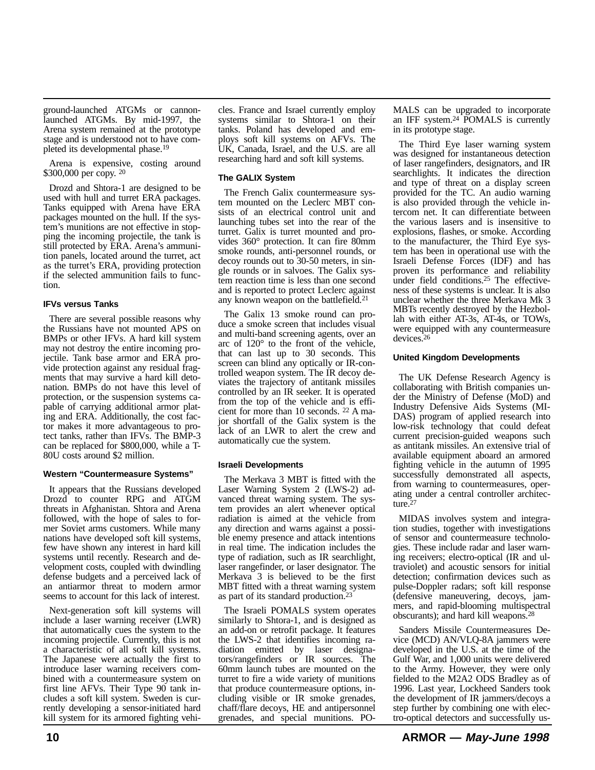ground-launched ATGMs or cannonlaunched ATGMs. By mid-1997, the Arena system remained at the prototype stage and is understood not to have completed its developmental phase.19

Arena is expensive, costing around \$300,000 per copy. 20

Drozd and Shtora-1 are designed to be used with hull and turret ERA packages. Tanks equipped with Arena have ERA packages mounted on the hull. If the system's munitions are not effective in stopping the incoming projectile, the tank is still protected by ERA. Arena's ammunition panels, located around the turret, act as the turret's ERA, providing protection if the selected ammunition fails to function.

# **IFVs versus Tanks**

There are several possible reasons why the Russians have not mounted APS on BMPs or other IFVs. A hard kill system may not destroy the entire incoming projectile. Tank base armor and ERA provide protection against any residual fragments that may survive a hard kill detonation. BMPs do not have this level of protection, or the suspension systems capable of carrying additional armor plating and ERA. Additionally, the cost factor makes it more advantageous to protect tanks, rather than IFVs. The BMP-3 can be replaced for \$800,000, while a T-80U costs around \$2 million.

## **Western "Countermeasure Systems"**

It appears that the Russians developed Drozd to counter RPG and ATGM threats in Afghanistan. Shtora and Arena followed, with the hope of sales to former Soviet arms customers. While many nations have developed soft kill systems, few have shown any interest in hard kill systems until recently. Research and development costs, coupled with dwindling defense budgets and a perceived lack of an antiarmor threat to modern armor seems to account for this lack of interest.

Next-generation soft kill systems will include a laser warning receiver (LWR) that automatically cues the system to the incoming projectile. Currently, this is not a characteristic of all soft kill systems. The Japanese were actually the first to introduce laser warning receivers combined with a countermeasure system on first line AFVs. Their Type 90 tank includes a soft kill system. Sweden is currently developing a sensor-initiated hard kill system for its armored fighting vehicles. France and Israel currently employ systems similar to Shtora-1 on their tanks. Poland has developed and employs soft kill systems on AFVs. The UK, Canada, Israel, and the U.S. are all researching hard and soft kill systems.

# **The GALIX System**

The French Galix countermeasure system mounted on the Leclerc MBT consists of an electrical control unit and launching tubes set into the rear of the turret. Galix is turret mounted and provides 360° protection. It can fire 80mm smoke rounds, anti-personnel rounds, or decoy rounds out to 30-50 meters, in single rounds or in salvoes. The Galix system reaction time is less than one second and is reported to protect Leclerc against any known weapon on the battlefield.21

The Galix 13 smoke round can produce a smoke screen that includes visual and multi-band screening agents, over an arc of 120° to the front of the vehicle, that can last up to 30 seconds. This screen can blind any optically or IR-controlled weapon system. The IR decoy deviates the trajectory of antitank missiles controlled by an IR seeker. It is operated from the top of the vehicle and is efficient for more than 10 seconds. 22 A major shortfall of the Galix system is the lack of an LWR to alert the crew and automatically cue the system.

# **Israeli Developments**

The Merkava 3 MBT is fitted with the Laser Warning System 2 (LWS-2) advanced threat warning system. The system provides an alert whenever optical radiation is aimed at the vehicle from any direction and warns against a possible enemy presence and attack intentions in real time. The indication includes the type of radiation, such as IR searchlight, laser rangefinder, or laser designator. The Merkava 3 is believed to be the first MBT fitted with a threat warning system as part of its standard production.23

The Israeli POMALS system operates similarly to Shtora-1, and is designed as an add-on or retrofit package. It features the LWS-2 that identifies incoming radiation emitted by laser designators/rangefinders or IR sources. The 60mm launch tubes are mounted on the turret to fire a wide variety of munitions that produce countermeasure options, including visible or IR smoke grenades, chaff/flare decoys, HE and antipersonnel grenades, and special munitions. PO-

MALS can be upgraded to incorporate an IFF system.24 POMALS is currently in its prototype stage.

The Third Eye laser warning system was designed for instantaneous detection of laser rangefinders, designators, and IR searchlights. It indicates the direction and type of threat on a display screen provided for the TC. An audio warning is also provided through the vehicle intercom net. It can differentiate between the various lasers and is insensitive to explosions, flashes, or smoke. According to the manufacturer, the Third Eye system has been in operational use with the Israeli Defense Forces (IDF) and has proven its performance and reliability under field conditions.<sup>25</sup> The effectiveness of these systems is unclear. It is also unclear whether the three Merkava Mk 3 MBTs recently destroyed by the Hezbollah with either AT-3s, AT-4s, or TOWs, were equipped with any countermeasure devices.26

# **United Kingdom Developments**

The UK Defense Research Agency is collaborating with British companies under the Ministry of Defense (MoD) and Industry Defensive Aids Systems (MI-DAS) program of applied research into low-risk technology that could defeat current precision-guided weapons such as antitank missiles. An extensive trial of available equipment aboard an armored fighting vehicle in the autumn of 1995 successfully demonstrated all aspects, from warning to countermeasures, operating under a central controller architecture.<sup>27</sup>

MIDAS involves system and integration studies, together with investigations of sensor and countermeasure technologies. These include radar and laser warning receivers; electro-optical (IR and ultraviolet) and acoustic sensors for initial detection; confirmation devices such as pulse-Doppler radars; soft kill response (defensive maneuvering, decoys, jammers, and rapid-blooming multispectral obscurants); and hard kill weapons.28

Sanders Missile Countermeasures Device (MCD) AN/VLQ-8A jammers were developed in the U.S. at the time of the Gulf War, and 1,000 units were delivered to the Army. However, they were only fielded to the M2A2 ODS Bradley as of 1996. Last year, Lockheed Sanders took the development of IR jammers/decoys a step further by combining one with electro-optical detectors and successfully us-